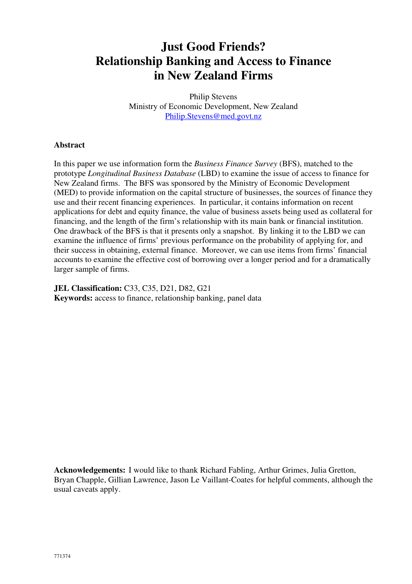# **Just Good Friends? Relationship Banking and Access to Finance in New Zealand Firms**

Philip Stevens Ministry of Economic Development, New Zealand Philip.Stevens@med.govt.nz

### **Abstract**

In this paper we use information form the *Business Finance Survey* (BFS), matched to the prototype *Longitudinal Business Database* (LBD) to examine the issue of access to finance for New Zealand firms. The BFS was sponsored by the Ministry of Economic Development (MED) to provide information on the capital structure of businesses, the sources of finance they use and their recent financing experiences. In particular, it contains information on recent applications for debt and equity finance, the value of business assets being used as collateral for financing, and the length of the firm's relationship with its main bank or financial institution. One drawback of the BFS is that it presents only a snapshot. By linking it to the LBD we can examine the influence of firms' previous performance on the probability of applying for, and their success in obtaining, external finance. Moreover, we can use items from firms' financial accounts to examine the effective cost of borrowing over a longer period and for a dramatically larger sample of firms.

**JEL Classification:** C33, C35, D21, D82, G21 **Keywords:** access to finance, relationship banking, panel data

**Acknowledgements:** I would like to thank Richard Fabling, Arthur Grimes, Julia Gretton, Bryan Chapple, Gillian Lawrence, Jason Le Vaillant-Coates for helpful comments, although the usual caveats apply.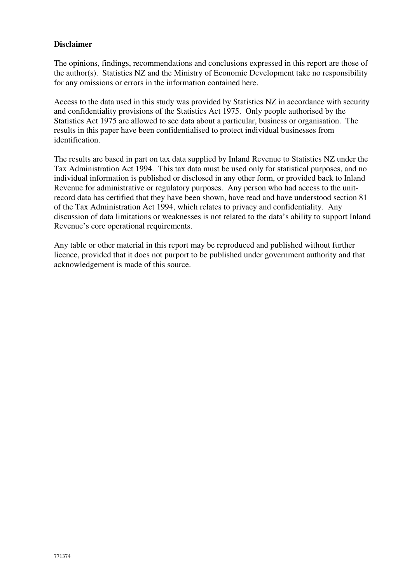### **Disclaimer**

The opinions, findings, recommendations and conclusions expressed in this report are those of the author(s). Statistics NZ and the Ministry of Economic Development take no responsibility for any omissions or errors in the information contained here.

Access to the data used in this study was provided by Statistics NZ in accordance with security and confidentiality provisions of the Statistics Act 1975. Only people authorised by the Statistics Act 1975 are allowed to see data about a particular, business or organisation. The results in this paper have been confidentialised to protect individual businesses from identification.

The results are based in part on tax data supplied by Inland Revenue to Statistics NZ under the Tax Administration Act 1994. This tax data must be used only for statistical purposes, and no individual information is published or disclosed in any other form, or provided back to Inland Revenue for administrative or regulatory purposes. Any person who had access to the unitrecord data has certified that they have been shown, have read and have understood section 81 of the Tax Administration Act 1994, which relates to privacy and confidentiality. Any discussion of data limitations or weaknesses is not related to the data's ability to support Inland Revenue's core operational requirements.

Any table or other material in this report may be reproduced and published without further licence, provided that it does not purport to be published under government authority and that acknowledgement is made of this source.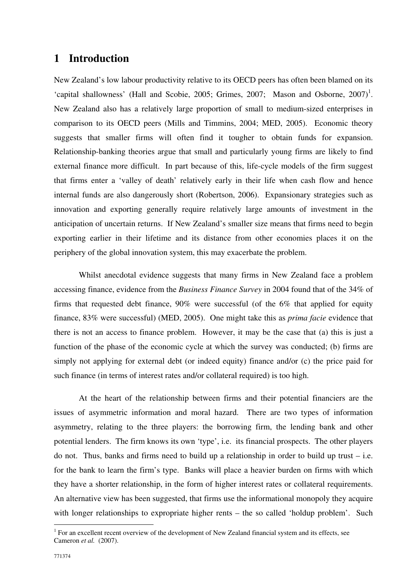## **1 Introduction**

New Zealand's low labour productivity relative to its OECD peers has often been blamed on its 'capital shallowness' (Hall and Scobie, 2005; Grimes, 2007; Mason and Osborne,  $2007$ )<sup>1</sup>. New Zealand also has a relatively large proportion of small to medium-sized enterprises in comparison to its OECD peers (Mills and Timmins, 2004; MED, 2005). Economic theory suggests that smaller firms will often find it tougher to obtain funds for expansion. Relationship-banking theories argue that small and particularly young firms are likely to find external finance more difficult. In part because of this, life-cycle models of the firm suggest that firms enter a 'valley of death' relatively early in their life when cash flow and hence internal funds are also dangerously short (Robertson, 2006). Expansionary strategies such as innovation and exporting generally require relatively large amounts of investment in the anticipation of uncertain returns. If New Zealand's smaller size means that firms need to begin exporting earlier in their lifetime and its distance from other economies places it on the periphery of the global innovation system, this may exacerbate the problem.

Whilst anecdotal evidence suggests that many firms in New Zealand face a problem accessing finance, evidence from the *Business Finance Survey* in 2004 found that of the 34% of firms that requested debt finance, 90% were successful (of the 6% that applied for equity finance, 83% were successful) (MED, 2005). One might take this as *prima facie* evidence that there is not an access to finance problem. However, it may be the case that (a) this is just a function of the phase of the economic cycle at which the survey was conducted; (b) firms are simply not applying for external debt (or indeed equity) finance and/or (c) the price paid for such finance (in terms of interest rates and/or collateral required) is too high.

At the heart of the relationship between firms and their potential financiers are the issues of asymmetric information and moral hazard. There are two types of information asymmetry, relating to the three players: the borrowing firm, the lending bank and other potential lenders. The firm knows its own 'type', i.e. its financial prospects. The other players do not. Thus, banks and firms need to build up a relationship in order to build up trust  $-$  i.e. for the bank to learn the firm's type. Banks will place a heavier burden on firms with which they have a shorter relationship, in the form of higher interest rates or collateral requirements. An alternative view has been suggested, that firms use the informational monopoly they acquire with longer relationships to expropriate higher rents – the so called 'holdup problem'. Such

 $1$  For an excellent recent overview of the development of New Zealand financial system and its effects, see Cameron *et al.* (2007).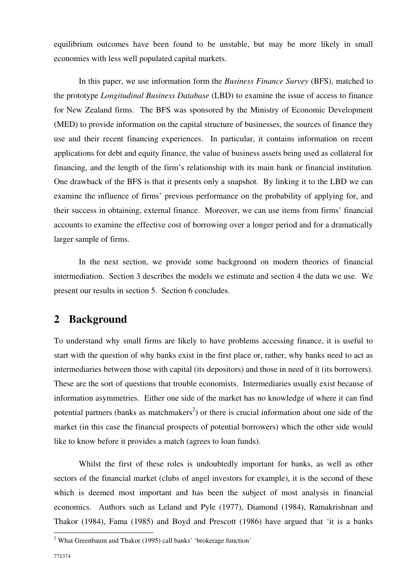equilibrium outcomes have been found to be unstable, but may be more likely in small economies with less well populated capital markets.

In this paper, we use information form the *Business Finance Survey* (BFS), matched to the prototype *Longitudinal Business Database* (LBD) to examine the issue of access to finance for New Zealand firms. The BFS was sponsored by the Ministry of Economic Development (MED) to provide information on the capital structure of businesses, the sources of finance they use and their recent financing experiences. In particular, it contains information on recent applications for debt and equity finance, the value of business assets being used as collateral for financing, and the length of the firm's relationship with its main bank or financial institution. One drawback of the BFS is that it presents only a snapshot. By linking it to the LBD we can examine the influence of firms' previous performance on the probability of applying for, and their success in obtaining, external finance. Moreover, we can use items from firms' financial accounts to examine the effective cost of borrowing over a longer period and for a dramatically larger sample of firms.

In the next section, we provide some background on modern theories of financial intermediation. Section 3 describes the models we estimate and section 4 the data we use. We present our results in section 5. Section 6 concludes.

## **2 Background**

To understand why small firms are likely to have problems accessing finance, it is useful to start with the question of why banks exist in the first place or, rather, why banks need to act as intermediaries between those with capital (its depositors) and those in need of it (its borrowers). These are the sort of questions that trouble economists. Intermediaries usually exist because of information asymmetries. Either one side of the market has no knowledge of where it can find potential partners (banks as matchmakers<sup>2</sup>) or there is crucial information about one side of the market (in this case the financial prospects of potential borrowers) which the other side would like to know before it provides a match (agrees to loan funds).

Whilst the first of these roles is undoubtedly important for banks, as well as other sectors of the financial market (clubs of angel investors for example), it is the second of these which is deemed most important and has been the subject of most analysis in financial economics. Authors such as Leland and Pyle (1977), Diamond (1984), Ramakrishnan and Thakor (1984), Fama (1985) and Boyd and Prescott (1986) have argued that 'it is a banks

 2 What Greenbaum and Thakor (1995) call banks' 'brokerage function'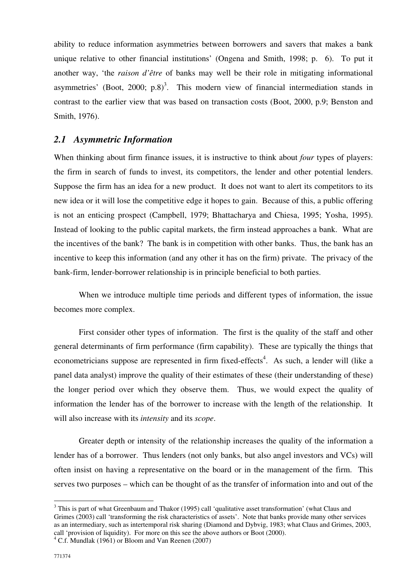ability to reduce information asymmetries between borrowers and savers that makes a bank unique relative to other financial institutions' (Ongena and Smith, 1998; p. 6). To put it another way, 'the *raison d'être* of banks may well be their role in mitigating informational asymmetries' (Boot, 2000;  $p.8$ )<sup>3</sup>. This modern view of financial intermediation stands in contrast to the earlier view that was based on transaction costs (Boot, 2000, p.9; Benston and Smith, 1976).

## *2.1 Asymmetric Information*

When thinking about firm finance issues, it is instructive to think about *four* types of players: the firm in search of funds to invest, its competitors, the lender and other potential lenders. Suppose the firm has an idea for a new product. It does not want to alert its competitors to its new idea or it will lose the competitive edge it hopes to gain. Because of this, a public offering is not an enticing prospect (Campbell, 1979; Bhattacharya and Chiesa, 1995; Yosha, 1995). Instead of looking to the public capital markets, the firm instead approaches a bank. What are the incentives of the bank? The bank is in competition with other banks. Thus, the bank has an incentive to keep this information (and any other it has on the firm) private. The privacy of the bank-firm, lender-borrower relationship is in principle beneficial to both parties.

When we introduce multiple time periods and different types of information, the issue becomes more complex.

First consider other types of information. The first is the quality of the staff and other general determinants of firm performance (firm capability). These are typically the things that econometricians suppose are represented in firm fixed-effects<sup>4</sup>. As such, a lender will (like a panel data analyst) improve the quality of their estimates of these (their understanding of these) the longer period over which they observe them. Thus, we would expect the quality of information the lender has of the borrower to increase with the length of the relationship. It will also increase with its *intensity* and its *scope*.

Greater depth or intensity of the relationship increases the quality of the information a lender has of a borrower. Thus lenders (not only banks, but also angel investors and VCs) will often insist on having a representative on the board or in the management of the firm. This serves two purposes – which can be thought of as the transfer of information into and out of the

<sup>&</sup>lt;sup>3</sup> This is part of what Greenbaum and Thakor (1995) call 'qualitative asset transformation' (what Claus and Grimes (2003) call 'transforming the risk characteristics of assets'. Note that banks provide many other services as an intermediary, such as intertemporal risk sharing (Diamond and Dybvig, 1983; what Claus and Grimes, 2003, call 'provision of liquidity). For more on this see the above authors or Boot (2000).

<sup>&</sup>lt;sup>4</sup> C.f. Mundlak (1961) or Bloom and Van Reenen (2007)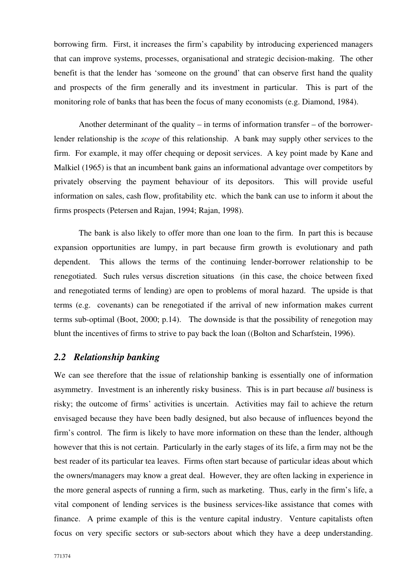borrowing firm. First, it increases the firm's capability by introducing experienced managers that can improve systems, processes, organisational and strategic decision-making. The other benefit is that the lender has 'someone on the ground' that can observe first hand the quality and prospects of the firm generally and its investment in particular. This is part of the monitoring role of banks that has been the focus of many economists (e.g. Diamond, 1984).

Another determinant of the quality – in terms of information transfer – of the borrowerlender relationship is the *scope* of this relationship. A bank may supply other services to the firm. For example, it may offer chequing or deposit services. A key point made by Kane and Malkiel (1965) is that an incumbent bank gains an informational advantage over competitors by privately observing the payment behaviour of its depositors. This will provide useful information on sales, cash flow, profitability etc. which the bank can use to inform it about the firms prospects (Petersen and Rajan, 1994; Rajan, 1998).

The bank is also likely to offer more than one loan to the firm. In part this is because expansion opportunities are lumpy, in part because firm growth is evolutionary and path dependent. This allows the terms of the continuing lender-borrower relationship to be renegotiated. Such rules versus discretion situations (in this case, the choice between fixed and renegotiated terms of lending) are open to problems of moral hazard. The upside is that terms (e.g. covenants) can be renegotiated if the arrival of new information makes current terms sub-optimal (Boot, 2000; p.14). The downside is that the possibility of renegotion may blunt the incentives of firms to strive to pay back the loan ((Bolton and Scharfstein, 1996).

## *2.2 Relationship banking*

We can see therefore that the issue of relationship banking is essentially one of information asymmetry. Investment is an inherently risky business. This is in part because *all* business is risky; the outcome of firms' activities is uncertain. Activities may fail to achieve the return envisaged because they have been badly designed, but also because of influences beyond the firm's control. The firm is likely to have more information on these than the lender, although however that this is not certain. Particularly in the early stages of its life, a firm may not be the best reader of its particular tea leaves. Firms often start because of particular ideas about which the owners/managers may know a great deal. However, they are often lacking in experience in the more general aspects of running a firm, such as marketing. Thus, early in the firm's life, a vital component of lending services is the business services-like assistance that comes with finance. A prime example of this is the venture capital industry. Venture capitalists often focus on very specific sectors or sub-sectors about which they have a deep understanding.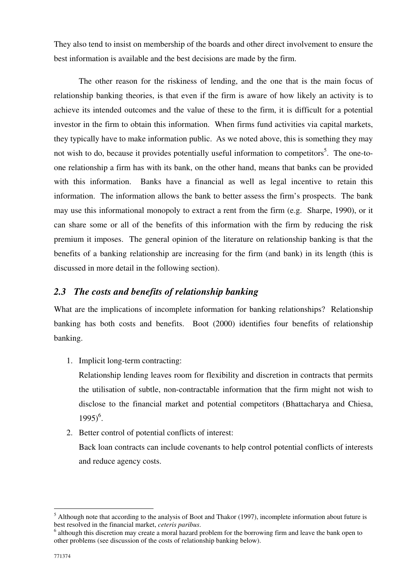They also tend to insist on membership of the boards and other direct involvement to ensure the best information is available and the best decisions are made by the firm.

The other reason for the riskiness of lending, and the one that is the main focus of relationship banking theories, is that even if the firm is aware of how likely an activity is to achieve its intended outcomes and the value of these to the firm, it is difficult for a potential investor in the firm to obtain this information. When firms fund activities via capital markets, they typically have to make information public. As we noted above, this is something they may not wish to do, because it provides potentially useful information to competitors<sup>5</sup>. The one-toone relationship a firm has with its bank, on the other hand, means that banks can be provided with this information. Banks have a financial as well as legal incentive to retain this information. The information allows the bank to better assess the firm's prospects. The bank may use this informational monopoly to extract a rent from the firm (e.g. Sharpe, 1990), or it can share some or all of the benefits of this information with the firm by reducing the risk premium it imposes. The general opinion of the literature on relationship banking is that the benefits of a banking relationship are increasing for the firm (and bank) in its length (this is discussed in more detail in the following section).

## *2.3 The costs and benefits of relationship banking*

What are the implications of incomplete information for banking relationships? Relationship banking has both costs and benefits. Boot (2000) identifies four benefits of relationship banking.

1. Implicit long-term contracting:

Relationship lending leaves room for flexibility and discretion in contracts that permits the utilisation of subtle, non-contractable information that the firm might not wish to disclose to the financial market and potential competitors (Bhattacharya and Chiesa,  $1995)^6$ .

2. Better control of potential conflicts of interest:

Back loan contracts can include covenants to help control potential conflicts of interests and reduce agency costs.

<sup>&</sup>lt;sup>5</sup> Although note that according to the analysis of Boot and Thakor (1997), incomplete information about future is best resolved in the financial market, *ceteris paribus*.

<sup>&</sup>lt;sup>6</sup> although this discretion may create a moral hazard problem for the borrowing firm and leave the bank open to other problems (see discussion of the costs of relationship banking below).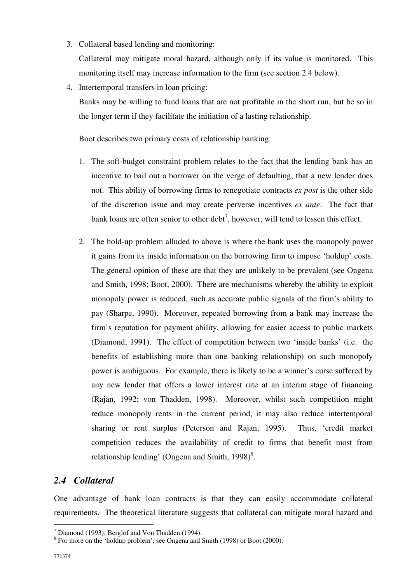- 3. Collateral based lending and monitoring: Collateral may mitigate moral hazard, although only if its value is monitored. This monitoring itself may increase information to the firm (see section 2.4 below).
- 4. Intertemporal transfers in loan pricing:

Banks may be willing to fund loans that are not profitable in the short run, but be so in the longer term if they facilitate the initiation of a lasting relationship.

Boot describes two primary costs of relationship banking:

- 1. The soft-budget constraint problem relates to the fact that the lending bank has an incentive to bail out a borrower on the verge of defaulting, that a new lender does not. This ability of borrowing firms to renegotiate contracts *ex post* is the other side of the discretion issue and may create perverse incentives *ex ante*. The fact that bank loans are often senior to other debt<sup>7</sup>, however, will tend to lessen this effect.
- 2. The hold-up problem alluded to above is where the bank uses the monopoly power it gains from its inside information on the borrowing firm to impose 'holdup' costs. The general opinion of these are that they are unlikely to be prevalent (see Ongena and Smith, 1998; Boot, 2000). There are mechanisms whereby the ability to exploit monopoly power is reduced, such as accurate public signals of the firm's ability to pay (Sharpe, 1990). Moreover, repeated borrowing from a bank may increase the firm's reputation for payment ability, allowing for easier access to public markets (Diamond, 1991). The effect of competition between two 'inside banks' (i.e. the benefits of establishing more than one banking relationship) on such monopoly power is ambiguous. For example, there is likely to be a winner's curse suffered by any new lender that offers a lower interest rate at an interim stage of financing (Rajan, 1992; von Thadden, 1998). Moreover, whilst such competition might reduce monopoly rents in the current period, it may also reduce intertemporal sharing or rent surplus (Peterson and Rajan, 1995). Thus, 'credit market competition reduces the availability of credit to firms that benefit most from relationship lending' (Ongena and Smith,  $1998$ )<sup>8</sup>.

## *2.4 Collateral*

One advantage of bank loan contracts is that they can easily accommodate collateral requirements. The theoretical literature suggests that collateral can mitigate moral hazard and

 $<sup>7</sup>$  Diamond (1993); Berglöf and Von Thadden (1994).</sup>

<sup>&</sup>lt;sup>8</sup> For more on the 'holdup problem', see Ongena and Smith (1998) or Boot (2000).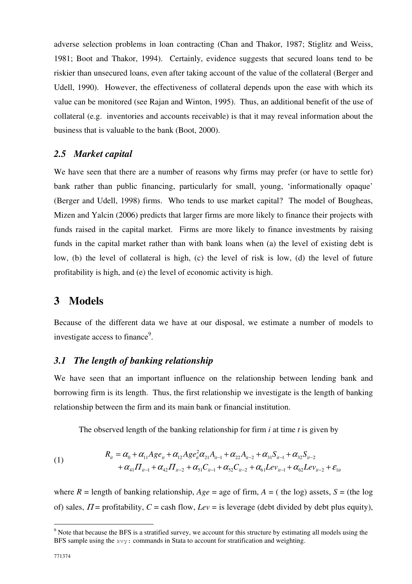adverse selection problems in loan contracting (Chan and Thakor, 1987; Stiglitz and Weiss, 1981; Boot and Thakor, 1994). Certainly, evidence suggests that secured loans tend to be riskier than unsecured loans, even after taking account of the value of the collateral (Berger and Udell, 1990). However, the effectiveness of collateral depends upon the ease with which its value can be monitored (see Rajan and Winton, 1995). Thus, an additional benefit of the use of collateral (e.g. inventories and accounts receivable) is that it may reveal information about the business that is valuable to the bank (Boot, 2000).

### *2.5 Market capital*

We have seen that there are a number of reasons why firms may prefer (or have to settle for) bank rather than public financing, particularly for small, young, 'informationally opaque' (Berger and Udell, 1998) firms. Who tends to use market capital? The model of Bougheas, Mizen and Yalcin (2006) predicts that larger firms are more likely to finance their projects with funds raised in the capital market. Firms are more likely to finance investments by raising funds in the capital market rather than with bank loans when (a) the level of existing debt is low, (b) the level of collateral is high, (c) the level of risk is low, (d) the level of future profitability is high, and (e) the level of economic activity is high.

## **3 Models**

Because of the different data we have at our disposal, we estimate a number of models to investigate access to finance<sup>9</sup>.

## *3.1 The length of banking relationship*

We have seen that an important influence on the relationship between lending bank and borrowing firm is its length. Thus, the first relationship we investigate is the length of banking relationship between the firm and its main bank or financial institution.

The observed length of the banking relationship for firm *i* at time *t* is given by

(1) 
$$
R_{ii} = \alpha_0 + \alpha_{11} A g e_{ii} + \alpha_{12} A g e_{ii}^2 \alpha_{21} A_{ii-1} + \alpha_{22} A_{ii-2} + \alpha_{31} S_{ii-1} + \alpha_{32} S_{ii-2} + \alpha_{41} \Pi_{ii-1} + \alpha_{42} \Pi_{ii-2} + \alpha_{51} C_{ii-1} + \alpha_{52} C_{ii-2} + \alpha_{61} L e v_{ii-1} + \alpha_{62} L e v_{ii-2} + \varepsilon_{1ii}
$$

where  $R =$  length of banking relationship,  $Age =$  age of firm,  $A =$  (the log) assets,  $S =$  (the log) of) sales,  $\Pi$  = profitability,  $C$  = cash flow,  $Lev$  = is leverage (debt divided by debt plus equity),

<sup>&</sup>lt;sup>9</sup> Note that because the BFS is a stratified survey, we account for this structure by estimating all models using the BFS sample using the svy: commands in Stata to account for stratification and weighting.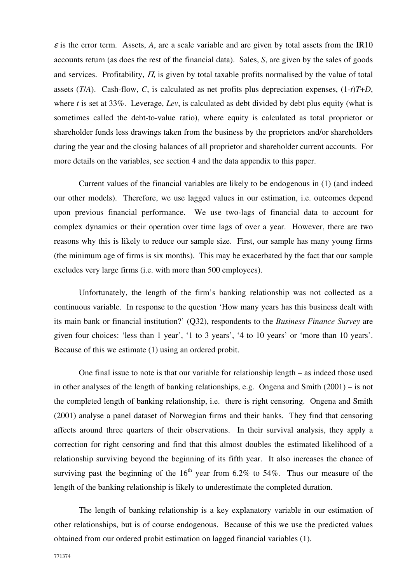$\varepsilon$  is the error term. Assets, A, are a scale variable and are given by total assets from the IR10 accounts return (as does the rest of the financial data). Sales, *S*, are given by the sales of goods and services. Profitability,  $\Pi$ , is given by total taxable profits normalised by the value of total assets (*T*/*A*). Cash-flow, *C*, is calculated as net profits plus depreciation expenses, (1-*t*)*T*+*D*, where *t* is set at 33%. Leverage, *Lev*, is calculated as debt divided by debt plus equity (what is sometimes called the debt-to-value ratio), where equity is calculated as total proprietor or shareholder funds less drawings taken from the business by the proprietors and/or shareholders during the year and the closing balances of all proprietor and shareholder current accounts. For more details on the variables, see section 4 and the data appendix to this paper.

Current values of the financial variables are likely to be endogenous in (1) (and indeed our other models). Therefore, we use lagged values in our estimation, i.e. outcomes depend upon previous financial performance. We use two-lags of financial data to account for complex dynamics or their operation over time lags of over a year. However, there are two reasons why this is likely to reduce our sample size. First, our sample has many young firms (the minimum age of firms is six months). This may be exacerbated by the fact that our sample excludes very large firms (i.e. with more than 500 employees).

Unfortunately, the length of the firm's banking relationship was not collected as a continuous variable. In response to the question 'How many years has this business dealt with its main bank or financial institution?' (Q32), respondents to the *Business Finance Survey* are given four choices: 'less than 1 year', '1 to 3 years', '4 to 10 years' or 'more than 10 years'. Because of this we estimate (1) using an ordered probit.

One final issue to note is that our variable for relationship length – as indeed those used in other analyses of the length of banking relationships, e.g. Ongena and Smith (2001) – is not the completed length of banking relationship, i.e. there is right censoring. Ongena and Smith (2001) analyse a panel dataset of Norwegian firms and their banks. They find that censoring affects around three quarters of their observations. In their survival analysis, they apply a correction for right censoring and find that this almost doubles the estimated likelihood of a relationship surviving beyond the beginning of its fifth year. It also increases the chance of surviving past the beginning of the  $16<sup>th</sup>$  year from 6.2% to 54%. Thus our measure of the length of the banking relationship is likely to underestimate the completed duration.

The length of banking relationship is a key explanatory variable in our estimation of other relationships, but is of course endogenous. Because of this we use the predicted values obtained from our ordered probit estimation on lagged financial variables (1).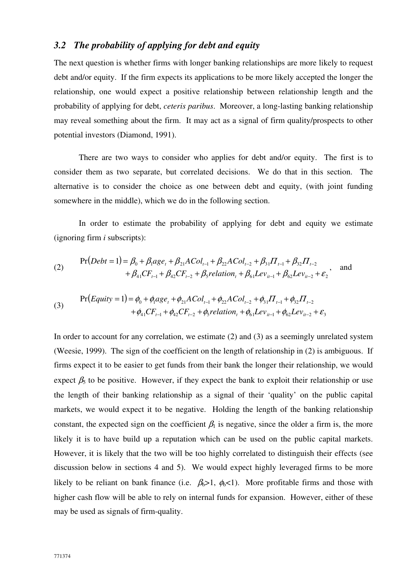## *3.2 The probability of applying for debt and equity*

The next question is whether firms with longer banking relationships are more likely to request debt and/or equity. If the firm expects its applications to be more likely accepted the longer the relationship, one would expect a positive relationship between relationship length and the probability of applying for debt, *ceteris paribus*. Moreover, a long-lasting banking relationship may reveal something about the firm. It may act as a signal of firm quality/prospects to other potential investors (Diamond, 1991).

There are two ways to consider who applies for debt and/or equity. The first is to consider them as two separate, but correlated decisions. We do that in this section. The alternative is to consider the choice as one between debt and equity, (with joint funding somewhere in the middle), which we do in the following section.

In order to estimate the probability of applying for debt and equity we estimate (ignoring firm *i* subscripts):

(2) 
$$
\Pr(Debt = 1) = \beta_0 + \beta_1 age_t + \beta_{21} ACol_{t-1} + \beta_{22} ACol_{t-2} + \beta_{31} \Pi_{t-1} + \beta_{32} \Pi_{t-2} + \beta_{41} CF_{t-1} + \beta_{42} CF_{t-2} + \beta_{5} relation_t + \beta_{61} Lev_{it-1} + \beta_{62} Lev_{it-2} + \varepsilon_2
$$
 and

(3) 
$$
\Pr(Equity = 1) = \phi_0 + \phi_1 age_t + \phi_{21} ACol_{t-1} + \phi_{22} ACol_{t-2} + \phi_{31} II_{t-1} + \phi_{32} II_{t-2} + \phi_{41} CF_{t-1} + \phi_{42} CF_{t-2} + \phi_5 relation_t + \phi_{61} Lev_{it-1} + \phi_{62} Lev_{it-2} + \varepsilon_3
$$

In order to account for any correlation, we estimate (2) and (3) as a seemingly unrelated system (Weesie, 1999). The sign of the coefficient on the length of relationship in (2) is ambiguous. If firms expect it to be easier to get funds from their bank the longer their relationship, we would expect  $\beta_5$  to be positive. However, if they expect the bank to exploit their relationship or use the length of their banking relationship as a signal of their 'quality' on the public capital markets, we would expect it to be negative. Holding the length of the banking relationship constant, the expected sign on the coefficient  $\beta_1$  is negative, since the older a firm is, the more likely it is to have build up a reputation which can be used on the public capital markets. However, it is likely that the two will be too highly correlated to distinguish their effects (see discussion below in sections 4 and 5). We would expect highly leveraged firms to be more likely to be reliant on bank finance (i.e.  $\beta_6 > 1$ ,  $\phi_6 < 1$ ). More profitable firms and those with higher cash flow will be able to rely on internal funds for expansion. However, either of these may be used as signals of firm-quality.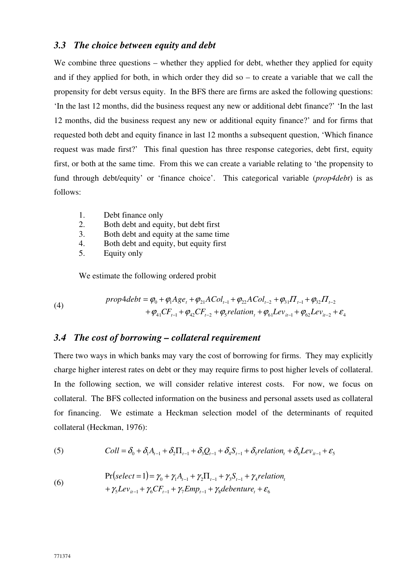### *3.3 The choice between equity and debt*

We combine three questions – whether they applied for debt, whether they applied for equity and if they applied for both, in which order they did so – to create a variable that we call the propensity for debt versus equity. In the BFS there are firms are asked the following questions: 'In the last 12 months, did the business request any new or additional debt finance?' 'In the last 12 months, did the business request any new or additional equity finance?' and for firms that requested both debt and equity finance in last 12 months a subsequent question, 'Which finance request was made first?' This final question has three response categories, debt first, equity first, or both at the same time. From this we can create a variable relating to 'the propensity to fund through debt/equity' or 'finance choice'. This categorical variable (*prop4debt*) is as follows:

- 1. Debt finance only
- 2. Both debt and equity, but debt first
- 3. Both debt and equity at the same time
- 4. Both debt and equity, but equity first
- 5. Equity only

We estimate the following ordered probit

(4) 
$$
prop4debt = \varphi_0 + \varphi_1 Age_t + \varphi_{21}ACol_{t-1} + \varphi_{22}ACol_{t-2} + \varphi_{31}II_{t-1} + \varphi_{32}II_{t-2} + \varphi_{41}CF_{t-1} + \varphi_{42}CF_{t-2} + \varphi_5 relation_t + \varphi_{61}Lev_{it-1} + \varphi_{62}Lev_{it-2} + \varepsilon_4
$$

## *3.4 The cost of borrowing – collateral requirement*

There two ways in which banks may vary the cost of borrowing for firms. They may explicitly charge higher interest rates on debt or they may require firms to post higher levels of collateral. In the following section, we will consider relative interest costs. For now, we focus on collateral. The BFS collected information on the business and personal assets used as collateral for financing. We estimate a Heckman selection model of the determinants of requited collateral (Heckman, 1976):

(5) 
$$
Coll = \delta_0 + \delta_1 A_{t-1} + \delta_2 \Pi_{t-1} + \delta_3 Q_{t-1} + \delta_4 S_{t-1} + \delta_5 relation_t + \delta_6 Lev_{it-1} + \varepsilon_5
$$

(6) 
$$
\Pr\left(\text{select = 1}\right) = \gamma_0 + \gamma_1 A_{t-1} + \gamma_2 \Pi_{t-1} + \gamma_3 S_{t-1} + \gamma_4 \text{relation}_t + \gamma_5 L e_{i_{t-1}} + \gamma_6 C F_{t-1} + \gamma_7 E m p_{t-1} + \gamma_8 d \text{e} \text{b} \text{ent} u r e_t + \varepsilon_6
$$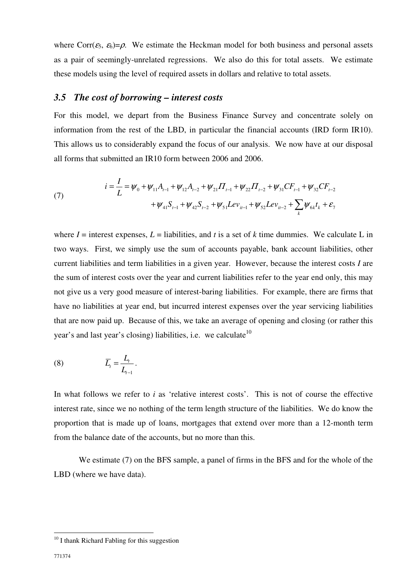where Corr( $\varepsilon_5$ ,  $\varepsilon_6$ )= $\rho$ . We estimate the Heckman model for both business and personal assets as a pair of seemingly-unrelated regressions. We also do this for total assets. We estimate these models using the level of required assets in dollars and relative to total assets.

#### *3.5 The cost of borrowing – interest costs*

For this model, we depart from the Business Finance Survey and concentrate solely on information from the rest of the LBD, in particular the financial accounts (IRD form IR10). This allows us to considerably expand the focus of our analysis. We now have at our disposal all forms that submitted an IR10 form between 2006 and 2006.

(7) 
$$
i = \frac{I}{L} = \psi_0 + \psi_{11}A_{t-1} + \psi_{12}A_{t-2} + \psi_{21}\Pi_{t-1} + \psi_{22}\Pi_{t-2} + \psi_{31}CF_{t-1} + \psi_{32}CF_{t-2} + \psi_{41}S_{t-1} + \psi_{42}S_{t-2} + \psi_{51}Lev_{it-1} + \psi_{52}Lev_{it-2} + \sum_k \psi_{6k}t_k + \varepsilon_7
$$

where  $I =$  interest expenses,  $L =$  liabilities, and  $t$  is a set of  $k$  time dummies. We calculate L in two ways. First, we simply use the sum of accounts payable, bank account liabilities, other current liabilities and term liabilities in a given year. However, because the interest costs *I* are the sum of interest costs over the year and current liabilities refer to the year end only, this may not give us a very good measure of interest-baring liabilities. For example, there are firms that have no liabilities at year end, but incurred interest expenses over the year servicing liabilities that are now paid up. Because of this, we take an average of opening and closing (or rather this year's and last year's closing) liabilities, i.e. we calculate<sup>10</sup>

$$
(8) \qquad \qquad \overline{L}_t = \frac{L_t}{L_{t-1}}.
$$

In what follows we refer to *i* as 'relative interest costs'. This is not of course the effective interest rate, since we no nothing of the term length structure of the liabilities. We do know the proportion that is made up of loans, mortgages that extend over more than a 12-month term from the balance date of the accounts, but no more than this.

We estimate (7) on the BFS sample, a panel of firms in the BFS and for the whole of the LBD (where we have data).

 $10$  I thank Richard Fabling for this suggestion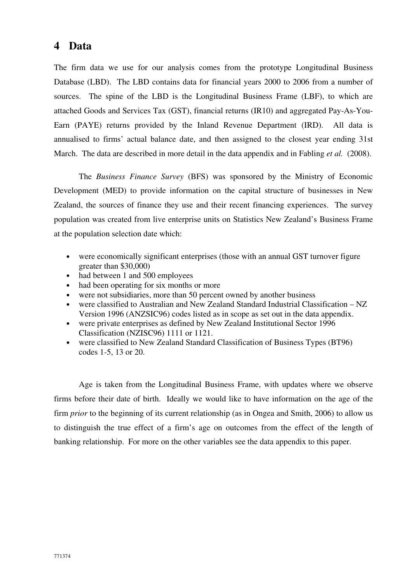## **4 Data**

The firm data we use for our analysis comes from the prototype Longitudinal Business Database (LBD). The LBD contains data for financial years 2000 to 2006 from a number of sources. The spine of the LBD is the Longitudinal Business Frame (LBF), to which are attached Goods and Services Tax (GST), financial returns (IR10) and aggregated Pay-As-You-Earn (PAYE) returns provided by the Inland Revenue Department (IRD). All data is annualised to firms' actual balance date, and then assigned to the closest year ending 31st March. The data are described in more detail in the data appendix and in Fabling *et al.* (2008).

The *Business Finance Survey* (BFS) was sponsored by the Ministry of Economic Development (MED) to provide information on the capital structure of businesses in New Zealand, the sources of finance they use and their recent financing experiences. The survey population was created from live enterprise units on Statistics New Zealand's Business Frame at the population selection date which:

- were economically significant enterprises (those with an annual GST turnover figure greater than \$30,000)
- had between 1 and 500 employees
- had been operating for six months or more
- were not subsidiaries, more than 50 percent owned by another business
- were classified to Australian and New Zealand Standard Industrial Classification NZ Version 1996 (ANZSIC96) codes listed as in scope as set out in the data appendix.
- were private enterprises as defined by New Zealand Institutional Sector 1996 Classification (NZISC96) 1111 or 1121.
- were classified to New Zealand Standard Classification of Business Types (BT96) codes 1-5, 13 or 20.

Age is taken from the Longitudinal Business Frame, with updates where we observe firms before their date of birth. Ideally we would like to have information on the age of the firm *prior* to the beginning of its current relationship (as in Ongea and Smith, 2006) to allow us to distinguish the true effect of a firm's age on outcomes from the effect of the length of banking relationship. For more on the other variables see the data appendix to this paper.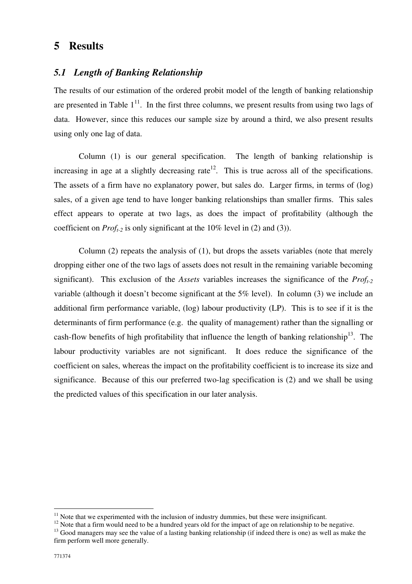## **5 Results**

## *5.1 Length of Banking Relationship*

The results of our estimation of the ordered probit model of the length of banking relationship are presented in Table  $1<sup>11</sup>$ . In the first three columns, we present results from using two lags of data. However, since this reduces our sample size by around a third, we also present results using only one lag of data.

Column (1) is our general specification. The length of banking relationship is increasing in age at a slightly decreasing rate<sup>12</sup>. This is true across all of the specifications. The assets of a firm have no explanatory power, but sales do. Larger firms, in terms of (log) sales, of a given age tend to have longer banking relationships than smaller firms. This sales effect appears to operate at two lags, as does the impact of profitability (although the coefficient on *Proft-2* is only significant at the 10% level in (2) and (3)).

Column (2) repeats the analysis of (1), but drops the assets variables (note that merely dropping either one of the two lags of assets does not result in the remaining variable becoming significant). This exclusion of the *Assets* variables increases the significance of the *Proft-2* variable (although it doesn't become significant at the 5% level). In column (3) we include an additional firm performance variable, (log) labour productivity (LP). This is to see if it is the determinants of firm performance (e.g. the quality of management) rather than the signalling or cash-flow benefits of high profitability that influence the length of banking relationship<sup>13</sup>. The labour productivity variables are not significant. It does reduce the significance of the coefficient on sales, whereas the impact on the profitability coefficient is to increase its size and significance. Because of this our preferred two-lag specification is (2) and we shall be using the predicted values of this specification in our later analysis.

 $11$  Note that we experimented with the inclusion of industry dummies, but these were insignificant.

<sup>&</sup>lt;sup>12</sup> Note that a firm would need to be a hundred years old for the impact of age on relationship to be negative.

<sup>&</sup>lt;sup>13</sup> Good managers may see the value of a lasting banking relationship (if indeed there is one) as well as make the firm perform well more generally.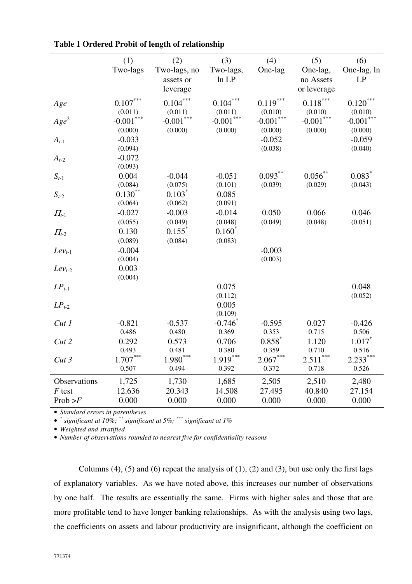|              | (1)<br>Two-lags            | (2)<br>Two-lags, no             | (3)<br>Two-lags,           | (4)<br>One-lag             | (5)<br>One-lag,            | (6)<br>One-lag, ln    |
|--------------|----------------------------|---------------------------------|----------------------------|----------------------------|----------------------------|-----------------------|
|              |                            | assets or<br>leverage           | ln LP                      |                            | no Assets<br>or leverage   | LP                    |
| Age          | $0.107***$<br>(0.011)      | $0.104***$<br>(0.011)           | $0.104***$<br>(0.011)      | $0.119***$<br>(0.010)      | $0.118***$<br>(0.010)      | $0.120***$<br>(0.010) |
| $Age^2$      | ***<br>$-0.001$<br>(0.000) | ***<br>$-0.001$<br>(0.000)      | ***<br>$-0.001$<br>(0.000) | ***<br>$-0.001$<br>(0.000) | ***<br>$-0.001$<br>(0.000) | $-0.001$<br>(0.000)   |
| $A_{t-1}$    | $-0.033$<br>(0.094)        |                                 |                            | $-0.052$<br>(0.038)        |                            | $-0.059$<br>(0.040)   |
| $A_{t-2}$    | $-0.072$<br>(0.093)        |                                 |                            |                            |                            |                       |
| $S_{t-1}$    | 0.004<br>(0.084)           | $-0.044$<br>(0.075)             | $-0.051$<br>(0.101)        | $0.093***$<br>(0.039)      | $0.056$ **<br>(0.029)      | 0.083<br>(0.043)      |
| $S_{t-2}$    | $0.130^{**}$<br>(0.064)    | $0.103^*$<br>(0.062)            | 0.085<br>(0.091)           |                            |                            |                       |
| $\Pi_{t-1}$  | $-0.027$<br>(0.055)        | $-0.003$<br>(0.049)             | $-0.014$<br>(0.048)        | 0.050<br>(0.049)           | 0.066<br>(0.048)           | 0.046<br>(0.051)      |
| $\Pi_{t-2}$  | 0.130<br>(0.089)           | $0.155$ <sup>*</sup><br>(0.084) | $0.160^*$<br>(0.083)       |                            |                            |                       |
| $Lev_{t-1}$  | $-0.004$<br>(0.004)        |                                 |                            | $-0.003$<br>(0.003)        |                            |                       |
| $Lev_{t-2}$  | 0.003<br>(0.004)           |                                 |                            |                            |                            |                       |
| $LP_{t-1}$   |                            |                                 | 0.075<br>(0.112)           |                            |                            | 0.048<br>(0.052)      |
| $LP_{t-2}$   |                            |                                 | 0.005<br>(0.109)           |                            |                            |                       |
| Cut1         | $-0.821$<br>0.486          | $-0.537$<br>0.480               | $-0.746$<br>0.369          | $-0.595$<br>0.353          | 0.027<br>0.715             | $-0.426$<br>0.506     |
| Cut 2        | 0.292<br>0.493             | 0.573<br>0.481                  | 0.706<br>0.380             | $0.858*$<br>0.359          | 1.120<br>0.710             | $1.017*$<br>0.516     |
| Cut3         | $1.707***$<br>0.507        | $1.980***$<br>0.494             | $1.919***$<br>0.392        | $2.067***$<br>0.372        | $2.511***$<br>0.718        | $2.233***$<br>0.526   |
| Observations | 1,725                      | 1,730                           | 1,685                      | 2,505                      | 2,510                      | 2,480                 |
| $F$ test     | 12.636                     | 20.343                          | 14.508                     | 27.495                     | 40.840                     | 27.154                |
| Prob > F     | 0.000                      | 0.000                           | 0.000                      | 0.000                      | 0.000                      | 0.000                 |

• *\* significant at 10%; \*\* significant at 5%; \*\*\* significant at 1%* 

• *Weighted and stratified* 

• *Number of observations rounded to nearest five for confidentiality reasons* 

Columns  $(4)$ ,  $(5)$  and  $(6)$  repeat the analysis of  $(1)$ ,  $(2)$  and  $(3)$ , but use only the first lags of explanatory variables. As we have noted above, this increases our number of observations by one half. The results are essentially the same. Firms with higher sales and those that are more profitable tend to have longer banking relationships. As with the analysis using two lags, the coefficients on assets and labour productivity are insignificant, although the coefficient on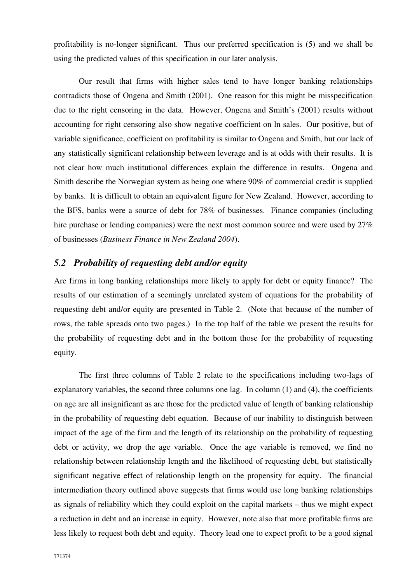profitability is no-longer significant. Thus our preferred specification is (5) and we shall be using the predicted values of this specification in our later analysis.

Our result that firms with higher sales tend to have longer banking relationships contradicts those of Ongena and Smith (2001). One reason for this might be misspecification due to the right censoring in the data. However, Ongena and Smith's (2001) results without accounting for right censoring also show negative coefficient on ln sales. Our positive, but of variable significance, coefficient on profitability is similar to Ongena and Smith, but our lack of any statistically significant relationship between leverage and is at odds with their results. It is not clear how much institutional differences explain the difference in results. Ongena and Smith describe the Norwegian system as being one where 90% of commercial credit is supplied by banks. It is difficult to obtain an equivalent figure for New Zealand. However, according to the BFS, banks were a source of debt for 78% of businesses. Finance companies (including hire purchase or lending companies) were the next most common source and were used by 27% of businesses (*Business Finance in New Zealand 2004*).

## *5.2 Probability of requesting debt and/or equity*

Are firms in long banking relationships more likely to apply for debt or equity finance? The results of our estimation of a seemingly unrelated system of equations for the probability of requesting debt and/or equity are presented in Table 2. (Note that because of the number of rows, the table spreads onto two pages.) In the top half of the table we present the results for the probability of requesting debt and in the bottom those for the probability of requesting equity.

The first three columns of Table 2 relate to the specifications including two-lags of explanatory variables, the second three columns one lag. In column (1) and (4), the coefficients on age are all insignificant as are those for the predicted value of length of banking relationship in the probability of requesting debt equation. Because of our inability to distinguish between impact of the age of the firm and the length of its relationship on the probability of requesting debt or activity, we drop the age variable. Once the age variable is removed, we find no relationship between relationship length and the likelihood of requesting debt, but statistically significant negative effect of relationship length on the propensity for equity. The financial intermediation theory outlined above suggests that firms would use long banking relationships as signals of reliability which they could exploit on the capital markets – thus we might expect a reduction in debt and an increase in equity. However, note also that more profitable firms are less likely to request both debt and equity. Theory lead one to expect profit to be a good signal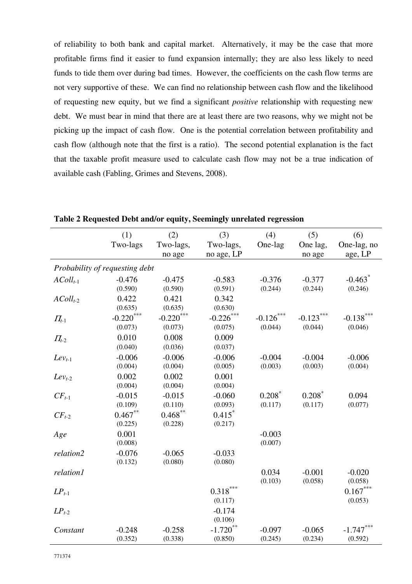of reliability to both bank and capital market. Alternatively, it may be the case that more profitable firms find it easier to fund expansion internally; they are also less likely to need funds to tide them over during bad times. However, the coefficients on the cash flow terms are not very supportive of these. We can find no relationship between cash flow and the likelihood of requesting new equity, but we find a significant *positive* relationship with requesting new debt. We must bear in mind that there are at least there are two reasons, why we might not be picking up the impact of cash flow. One is the potential correlation between profitability and cash flow (although note that the first is a ratio). The second potential explanation is the fact that the taxable profit measure used to calculate cash flow may not be a true indication of available cash (Fabling, Grimes and Stevens, 2008).

|                                | (1)          | (2)          | (3)                    | (4)       | (5)         | (6)                   |
|--------------------------------|--------------|--------------|------------------------|-----------|-------------|-----------------------|
|                                | Two-lags     | Two-lags,    | Two-lags,              | One-lag   | One lag,    | One-lag, no           |
|                                |              | no age       | no age, LP             |           | no age      | age, LP               |
| Probability of requesting debt |              |              |                        |           |             |                       |
| $AColl_{t-1}$                  | $-0.476$     | $-0.475$     | $-0.583$               | $-0.376$  | $-0.377$    | $-0.463$ <sup>*</sup> |
|                                | (0.590)      | (0.590)      | (0.591)                | (0.244)   | (0.244)     | (0.246)               |
| $AColl_{t-2}$                  | 0.422        | 0.421        | 0.342                  |           |             |                       |
|                                | (0.635)      | (0.635)      | (0.630)                |           |             |                       |
| $\Pi_{t-1}$                    | $-0.220$ *** | $-0.220$ *** | $-0.226$ ***           | $-0.126$  | $-0.123***$ | $-0.138***$           |
|                                | (0.073)      | (0.073)      | (0.075)                | (0.044)   | (0.044)     | (0.046)               |
| $\Pi_{t-2}$                    | 0.010        | 0.008        | 0.009                  |           |             |                       |
|                                | (0.040)      | (0.036)      | (0.037)                |           |             |                       |
| $Lev_{t-1}$                    | $-0.006$     | $-0.006$     | $-0.006$               | $-0.004$  | $-0.004$    | $-0.006$              |
|                                | (0.004)      | (0.004)      | (0.005)                | (0.003)   | (0.003)     | (0.004)               |
| $Lev_{t-2}$                    | 0.002        | 0.002        | 0.001                  |           |             |                       |
|                                | (0.004)      | (0.004)      | (0.004)                |           |             |                       |
| $CF_{t-1}$                     | $-0.015$     | $-0.015$     | $-0.060$               | $0.208^*$ | $0.208*$    | 0.094                 |
|                                | (0.109)      | (0.110)      | (0.093)                | (0.117)   | (0.117)     | (0.077)               |
| $CF_{t-2}$                     | $0.467**$    | $0.468***$   | 0.415                  |           |             |                       |
|                                | (0.225)      | (0.228)      | (0.217)                |           |             |                       |
| Age                            | 0.001        |              |                        | $-0.003$  |             |                       |
|                                | (0.008)      |              |                        | (0.007)   |             |                       |
| relation2                      | $-0.076$     | $-0.065$     | $-0.033$               |           |             |                       |
|                                | (0.132)      | (0.080)      | (0.080)                |           |             |                       |
| relation1                      |              |              |                        | 0.034     | $-0.001$    | $-0.020$              |
|                                |              |              |                        | (0.103)   | (0.058)     | (0.058)               |
| $LP_{t-1}$                     |              |              | $0.318***$             |           |             | $0.167***$            |
|                                |              |              | (0.117)                |           |             | (0.053)               |
| $LP_{t-2}$                     |              |              | $-0.174$               |           |             |                       |
|                                |              |              | (0.106)                |           |             |                       |
| Constant                       | $-0.248$     | $-0.258$     | $-1.720$ <sup>**</sup> | $-0.097$  | $-0.065$    | $-1.747***$           |
|                                | (0.352)      | (0.338)      | (0.850)                | (0.245)   | (0.234)     | (0.592)               |

**Table 2 Requested Debt and/or equity, Seemingly unrelated regression**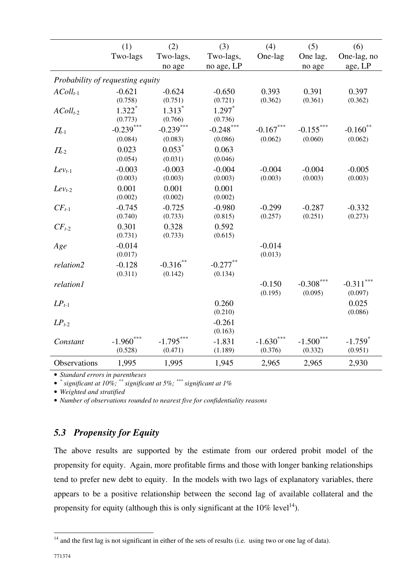|                                  | (1)          | (2)         | (3)                  | (4)         | (5)          | (6)                   |
|----------------------------------|--------------|-------------|----------------------|-------------|--------------|-----------------------|
|                                  | Two-lags     | Two-lags,   | Two-lags,            | One-lag     | One lag,     | One-lag, no           |
|                                  |              | no age      | no age, LP           |             | no age       | age, LP               |
| Probability of requesting equity |              |             |                      |             |              |                       |
| $AColl_{t-1}$                    | $-0.621$     | $-0.624$    | $-0.650$             | 0.393       | 0.391        | 0.397                 |
|                                  | (0.758)      | (0.751)     | (0.721)              | (0.362)     | (0.361)      | (0.362)               |
| $AColl_{t-2}$                    | $1.322*$     | $1.313*$    | $1.297$ <sup>*</sup> |             |              |                       |
|                                  | (0.773)      | (0.766)     | (0.736)              |             |              |                       |
| $\Pi_{t-1}$                      | $-0.239***$  | $-0.239***$ | $-0.248$ ***         | $-0.167***$ | $-0.155$     | $-0.160^{\degree}$    |
|                                  | (0.084)      | (0.083)     | (0.086)              | (0.062)     | (0.060)      | (0.062)               |
| $\Pi_{t-2}$                      | 0.023        | $0.053*$    | 0.063                |             |              |                       |
|                                  | (0.054)      | (0.031)     | (0.046)              |             |              |                       |
| $Lev_{t-1}$                      | $-0.003$     | $-0.003$    | $-0.004$             | $-0.004$    | $-0.004$     | $-0.005$              |
|                                  | (0.003)      | (0.003)     | (0.003)              | (0.003)     | (0.003)      | (0.003)               |
| $Lev_{t-2}$                      | 0.001        | 0.001       | 0.001                |             |              |                       |
|                                  | (0.002)      | (0.002)     | (0.002)              |             |              |                       |
| $CF_{t-1}$                       | $-0.745$     | $-0.725$    | $-0.980$             | $-0.299$    | $-0.287$     | $-0.332$              |
|                                  | (0.740)      | (0.733)     | (0.815)              | (0.257)     | (0.251)      | (0.273)               |
| $CF_{t-2}$                       | 0.301        | 0.328       | 0.592                |             |              |                       |
|                                  | (0.731)      | (0.733)     | (0.615)              |             |              |                       |
| Age                              | $-0.014$     |             |                      | $-0.014$    |              |                       |
|                                  | (0.017)      |             |                      | (0.013)     |              |                       |
| relation2                        | $-0.128$     | $-0.316$ ** | $-0.277***$          |             |              |                       |
|                                  | (0.311)      | (0.142)     | (0.134)              |             |              |                       |
| relation1                        |              |             |                      | $-0.150$    | $-0.308$ *** | $-0.311***$           |
|                                  |              |             |                      | (0.195)     | (0.095)      | (0.097)               |
| $LP_{t-1}$                       |              |             | 0.260                |             |              | 0.025                 |
|                                  |              |             | (0.210)              |             |              | (0.086)               |
| $LP_{t-2}$                       |              |             | $-0.261$             |             |              |                       |
|                                  |              |             | (0.163)              |             |              |                       |
| Constant                         | $-1.960$ *** | $-1.795***$ | $-1.831$             | $-1.630***$ | $-1.500$ *** | $-1.759$ <sup>*</sup> |
|                                  | (0.528)      | (0.471)     | (1.189)              | (0.376)     | (0.332)      | (0.951)               |
| Observations                     | 1,995        | 1,995       | 1,945                | 2,965       | 2,965        | 2,930                 |

• *\* significant at 10%; \*\* significant at 5%; \*\*\* significant at 1%* 

• *Weighted and stratified* 

• *Number of observations rounded to nearest five for confidentiality reasons* 

## *5.3 Propensity for Equity*

The above results are supported by the estimate from our ordered probit model of the propensity for equity. Again, more profitable firms and those with longer banking relationships tend to prefer new debt to equity. In the models with two lags of explanatory variables, there appears to be a positive relationship between the second lag of available collateral and the propensity for equity (although this is only significant at the  $10\%$  level<sup>14</sup>).

 $14$  and the first lag is not significant in either of the sets of results (i.e. using two or one lag of data).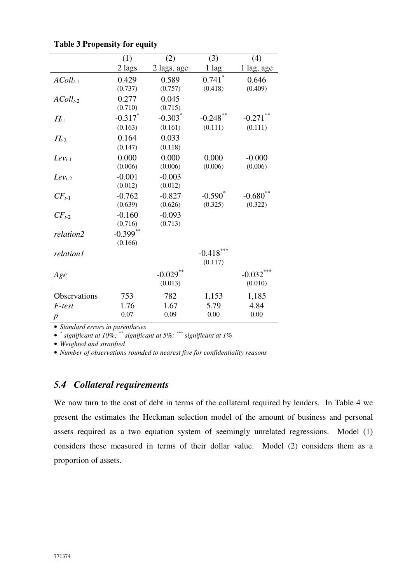|               | (1)         | (2)                   | (3)         | (4)        |
|---------------|-------------|-----------------------|-------------|------------|
|               | 2 lags      | 2 lags, age           | 1 lag       | 1 lag, age |
| $AColl_{t-1}$ | 0.429       | 0.589                 | 0.741       | 0.646      |
|               | (0.737)     | (0.757)               | (0.418)     | (0.409)    |
| $AColl_{t-2}$ | 0.277       | 0.045                 |             |            |
|               | (0.710)     | (0.715)               |             |            |
| $\prod_{t=1}$ | $-0.317$ *  | $-0.303$ <sup>*</sup> | $-0.248$ ** | $-0.271$   |
|               | (0.163)     | (0.161)               | (0.111)     | (0.111)    |
| $\Pi_{t-2}$   | 0.164       | 0.033                 |             |            |
|               | (0.147)     | (0.118)               |             |            |
| $Lev_{t-1}$   | 0.000       | 0.000                 | 0.000       | $-0.000$   |
|               | (0.006)     | (0.006)               | (0.006)     | (0.006)    |
| $Lev_{t-2}$   | $-0.001$    | $-0.003$              |             |            |
|               | (0.012)     | (0.012)               |             |            |
| $CF_{t-1}$    | $-0.762$    | $-0.827$              | $-0.590^*$  | $-0.680$   |
|               | (0.639)     | (0.626)               | (0.325)     | (0.322)    |
| $CF_{t-2}$    | $-0.160$    | $-0.093$              |             |            |
|               | (0.716)     | (0.713)               |             |            |
| relation2     | $-0.399$ ** |                       |             |            |
|               | (0.166)     |                       |             |            |
| relation1     |             |                       | $-0.418***$ |            |
|               |             |                       | (0.117)     |            |
| Age           |             | $-0.029$              |             | $-0.032$   |
|               |             | (0.013)               |             | (0.010)    |
| Observations  | 753         | 782                   | 1,153       | 1,185      |
| F-test        | 1.76        | 1.67                  | 5.79        | 4.84       |
| p             | 0.07        | 0.09                  | 0.00        | 0.00       |
|               |             |                       |             |            |

**Table 3 Propensity for equity** 

• *\* significant at 10%; \*\* significant at 5%; \*\*\* significant at 1%* 

• *Weighted and stratified* 

• *Number of observations rounded to nearest five for confidentiality reasons* 

## *5.4 Collateral requirements*

We now turn to the cost of debt in terms of the collateral required by lenders. In Table 4 we present the estimates the Heckman selection model of the amount of business and personal assets required as a two equation system of seemingly unrelated regressions. Model (1) considers these measured in terms of their dollar value. Model (2) considers them as a proportion of assets.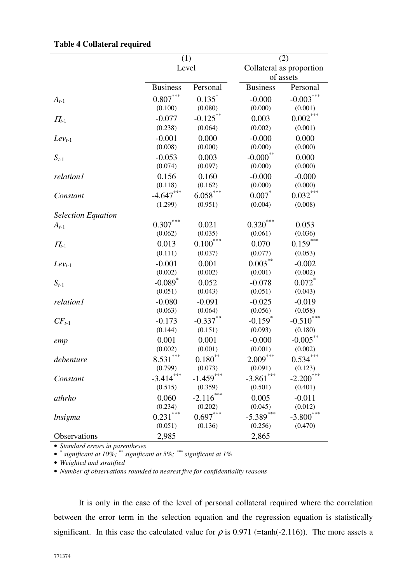|                           | (1)                   |                           | (2)                   |                          |
|---------------------------|-----------------------|---------------------------|-----------------------|--------------------------|
|                           | Level                 |                           | of assets             | Collateral as proportion |
|                           | <b>Business</b>       | Personal                  | <b>Business</b>       | Personal                 |
| $A_{t-1}$                 | $0.807***$            | $0.135$ *                 | $-0.000$              | $-0.003***$              |
|                           | (0.100)               | (0.080)                   | (0.000)               | (0.001)                  |
| $\Pi_{t-1}$               | $-0.077$              | $-0.125***$               | 0.003                 | $0.002***$               |
|                           | (0.238)               | (0.064)                   | (0.002)               | (0.001)                  |
| $Lev_{t-1}$               | $-0.001$              | 0.000                     | $-0.000$              | 0.000                    |
|                           | (0.008)               | (0.000)                   | (0.000)               | (0.000)                  |
| $S_{t-1}$                 | $-0.053$              | 0.003                     | $-0.000$ **           | 0.000                    |
|                           | (0.074)               | (0.097)                   | (0.000)               | (0.000)                  |
| relation1                 | 0.156                 | 0.160                     | $-0.000$              | $-0.000$                 |
|                           | (0.118)               | (0.162)                   | (0.000)               | (0.000)                  |
| Constant                  | $-4.647***$           | $6.058***$                | $0.007*$              | $0.032***$               |
|                           | (1.299)               | (0.951)                   | (0.004)               | (0.008)                  |
| <b>Selection Equation</b> |                       |                           |                       |                          |
| $A_{t-1}$                 | $0.307***$            | 0.021                     | $0.320***$            | 0.053                    |
|                           | (0.062)               | (0.035)                   | (0.061)               | (0.036)                  |
| $\Pi_{t-1}$               | 0.013                 | $0.100***$                | 0.070                 | $0.159***$               |
| $Lev_{t-1}$               | (0.111)               | (0.037)                   | (0.077)               | (0.053)                  |
|                           | $-0.001$              | 0.001                     | $0.003***$            | $-0.002$                 |
| $S_{t-1}$                 | (0.002)               | (0.002)                   | (0.001)               | (0.002)                  |
|                           | $-0.089$ <sup>*</sup> | 0.052                     | $-0.078$              | $0.072$ *                |
| relation1                 | (0.051)               | (0.043)                   | (0.051)               | (0.043)                  |
|                           | $-0.080$              | $-0.091$                  | $-0.025$              | $-0.019$                 |
| $CF_{t-1}$                | (0.063)               | (0.064)                   | (0.056)               | (0.058)                  |
|                           | $-0.173$              | $-0.337**$                | $-0.159$ <sup>*</sup> | $-0.510$ ***             |
|                           | (0.144)               | (0.151)                   | (0.093)               | (0.180)                  |
| emp                       | 0.001                 | 0.001                     | $-0.000$              | $-0.005***$              |
|                           | (0.002)               | (0.001)                   | (0.001)               | (0.002)                  |
| debenture                 | $8.531***$            | $0.180^{**}$              | $2.009***$            | $0.534***$               |
| Constant                  | (0.799)               | (0.073)                   | (0.091)               | (0.123)                  |
|                           | $-3.414***$           | $-1.459***$               | $-3.861***$           | $-2.200$ ***             |
|                           | (0.515)               | (0.359)                   | (0.501)               | (0.401)                  |
| athrho                    | 0.060                 | $-2.1\overline{16}^{***}$ | 0.005                 | $-0.011$                 |
|                           | (0.234)               | (0.202)                   | (0.045)               | (0.012)                  |
| lnsigma                   | $0.231***$            | $0.697***$                | $-5.389***$           | $-3.800$ ***             |
|                           | (0.051)               | (0.136)                   | (0.256)               | (0.470)                  |
| Observations              | 2,985                 |                           | 2,865                 |                          |

#### **Table 4 Collateral required**

• *Standard errors in parentheses* 

• *\* significant at 10%; \*\* significant at 5%; \*\*\* significant at 1%* 

• *Weighted and stratified* 

• *Number of observations rounded to nearest five for confidentiality reasons* 

It is only in the case of the level of personal collateral required where the correlation between the error term in the selection equation and the regression equation is statistically significant. In this case the calculated value for  $\rho$  is 0.971 (=tanh(-2.116)). The more assets a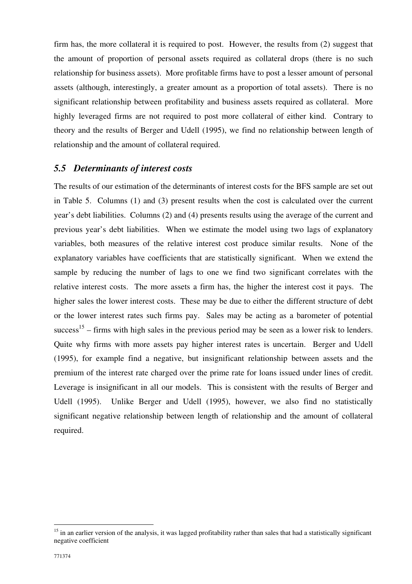firm has, the more collateral it is required to post. However, the results from (2) suggest that the amount of proportion of personal assets required as collateral drops (there is no such relationship for business assets). More profitable firms have to post a lesser amount of personal assets (although, interestingly, a greater amount as a proportion of total assets). There is no significant relationship between profitability and business assets required as collateral. More highly leveraged firms are not required to post more collateral of either kind. Contrary to theory and the results of Berger and Udell (1995), we find no relationship between length of relationship and the amount of collateral required.

### *5.5 Determinants of interest costs*

The results of our estimation of the determinants of interest costs for the BFS sample are set out in Table 5. Columns (1) and (3) present results when the cost is calculated over the current year's debt liabilities. Columns (2) and (4) presents results using the average of the current and previous year's debt liabilities. When we estimate the model using two lags of explanatory variables, both measures of the relative interest cost produce similar results. None of the explanatory variables have coefficients that are statistically significant. When we extend the sample by reducing the number of lags to one we find two significant correlates with the relative interest costs. The more assets a firm has, the higher the interest cost it pays. The higher sales the lower interest costs. These may be due to either the different structure of debt or the lower interest rates such firms pay. Sales may be acting as a barometer of potential success<sup>15</sup> – firms with high sales in the previous period may be seen as a lower risk to lenders. Quite why firms with more assets pay higher interest rates is uncertain. Berger and Udell (1995), for example find a negative, but insignificant relationship between assets and the premium of the interest rate charged over the prime rate for loans issued under lines of credit. Leverage is insignificant in all our models. This is consistent with the results of Berger and Udell (1995). Unlike Berger and Udell (1995), however, we also find no statistically significant negative relationship between length of relationship and the amount of collateral required.

 $15$  in an earlier version of the analysis, it was lagged profitability rather than sales that had a statistically significant negative coefficient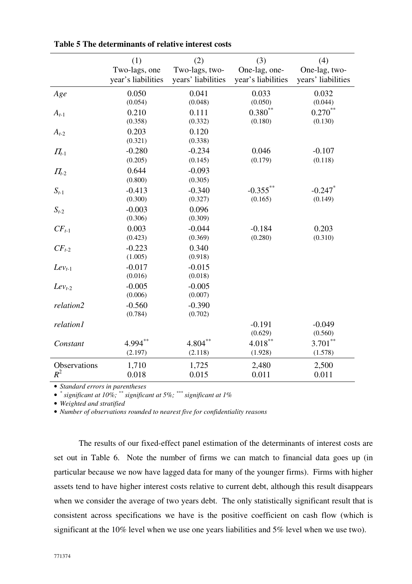|              | (1)                | (2)                | (3)                | (4)                |
|--------------|--------------------|--------------------|--------------------|--------------------|
|              | Two-lags, one      | Two-lags, two-     | One-lag, one-      | One-lag, two-      |
|              | year's liabilities | years' liabilities | year's liabilities | years' liabilities |
| Age          | 0.050              | 0.041              | 0.033              | 0.032              |
|              | (0.054)            | (0.048)            | (0.050)            | (0.044)            |
| $A_{t-1}$    | 0.210              | 0.111              | $0.380**$          | $0.270**$          |
|              | (0.358)            | (0.332)            | (0.180)            | (0.130)            |
| $A_{t-2}$    | 0.203              | 0.120              |                    |                    |
|              | (0.321)            | (0.338)            |                    |                    |
| $\Pi_{t-1}$  | $-0.280$           | $-0.234$           | 0.046              | $-0.107$           |
|              | (0.205)            | (0.145)            | (0.179)            | (0.118)            |
| $\Pi_{t-2}$  | 0.644              | $-0.093$           |                    |                    |
|              | (0.800)            | (0.305)            |                    |                    |
| $S_{t-1}$    | $-0.413$           | $-0.340$           | $-0.355***$        | $-0.247$ *         |
|              | (0.300)            | (0.327)            | (0.165)            | (0.149)            |
| $S_{t-2}$    | $-0.003$           | 0.096              |                    |                    |
|              | (0.306)            | (0.309)            |                    |                    |
| $CF_{t-1}$   | 0.003              | $-0.044$           | $-0.184$           | 0.203              |
|              | (0.423)            | (0.369)            | (0.280)            | (0.310)            |
| $CF_{t-2}$   | $-0.223$           | 0.340              |                    |                    |
|              | (1.005)            | (0.918)            |                    |                    |
| $Lev_{t-1}$  | $-0.017$           | $-0.015$           |                    |                    |
|              | (0.016)            | (0.018)            |                    |                    |
| $Lev_{t-2}$  | $-0.005$           | $-0.005$           |                    |                    |
|              | (0.006)            | (0.007)            |                    |                    |
| relation2    | $-0.560$           | $-0.390$           |                    |                    |
|              | (0.784)            | (0.702)            |                    |                    |
| relation1    |                    |                    | $-0.191$           | $-0.049$           |
|              |                    |                    | (0.629)            | (0.560)            |
| Constant     | 4.994**            | $4.804***$         | $4.018***$         | $3.701***$         |
|              | (2.197)            | (2.118)            | (1.928)            | (1.578)            |
| Observations | 1,710              | 1,725              | 2,480              | 2,500              |
| $R^2$        | 0.018              | 0.015              | 0.011              | 0.011              |

**Table 5 The determinants of relative interest costs**

• *\* significant at 10%; \*\* significant at 5%; \*\*\* significant at 1%* 

• *Weighted and stratified* 

• *Number of observations rounded to nearest five for confidentiality reasons* 

The results of our fixed-effect panel estimation of the determinants of interest costs are set out in Table 6. Note the number of firms we can match to financial data goes up (in particular because we now have lagged data for many of the younger firms). Firms with higher assets tend to have higher interest costs relative to current debt, although this result disappears when we consider the average of two years debt. The only statistically significant result that is consistent across specifications we have is the positive coefficient on cash flow (which is significant at the 10% level when we use one years liabilities and 5% level when we use two).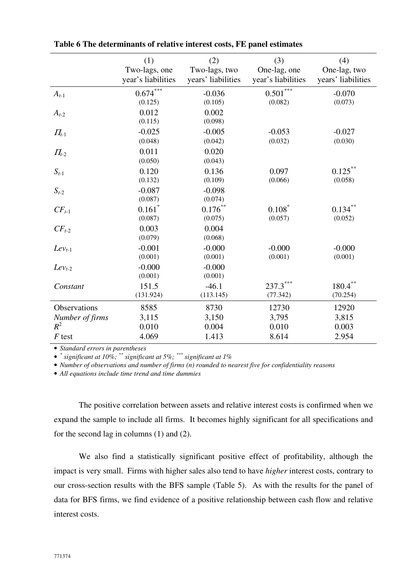|                 | (1)<br>Two-lags, one            | (2)<br>Two-lags, two          | (3)<br>One-lag, one    | (4)<br>One-lag, two    |
|-----------------|---------------------------------|-------------------------------|------------------------|------------------------|
|                 | year's liabilities              | years' liabilities            | year's liabilities     | years' liabilities     |
| $A_{t-1}$       | $0.674***$<br>(0.125)           | $-0.036$<br>(0.105)           | $0.501***$<br>(0.082)  | $-0.070$<br>(0.073)    |
| $A_{t-2}$       | 0.012<br>(0.115)                | 0.002<br>(0.098)              |                        |                        |
| $\Pi_{t-1}$     | $-0.025$<br>(0.048)             | $-0.005$<br>(0.042)           | $-0.053$<br>(0.032)    | $-0.027$<br>(0.030)    |
| $\Pi_{t-2}$     | 0.011<br>(0.050)                | 0.020<br>(0.043)              |                        |                        |
| $S_{t-1}$       | 0.120<br>(0.132)                | 0.136<br>(0.109)              | 0.097<br>(0.066)       | $0.125***$<br>(0.058)  |
| $S_{t-2}$       | $-0.087$<br>(0.087)             | $-0.098$<br>(0.074)           |                        |                        |
| $CF_{t-1}$      | $0.161$ <sup>*</sup><br>(0.087) | $0.176^{\ast\ast}$<br>(0.075) | $0.108^*$<br>(0.057)   | $0.134***$<br>(0.052)  |
| $CF_{t-2}$      | 0.003<br>(0.079)                | 0.004<br>(0.068)              |                        |                        |
| $Lev_{t-1}$     | $-0.001$<br>(0.001)             | $-0.000$<br>(0.001)           | $-0.000$<br>(0.001)    | $-0.000$<br>(0.001)    |
| $Lev_{t-2}$     | $-0.000$<br>(0.001)             | $-0.000$<br>(0.001)           |                        |                        |
| Constant        | 151.5<br>(131.924)              | $-46.1$<br>(113.145)          | $237.3***$<br>(77.342) | $180.4***$<br>(70.254) |
| Observations    | 8585                            | 8730                          | 12730                  | 12920                  |
| Number of firms | 3,115                           | 3,150                         | 3,795                  | 3,815                  |
| $R^2$           | 0.010                           | 0.004                         | 0.010                  | 0.003                  |
| $F$ test        | 4.069                           | 1.413                         | 8.614                  | 2.954                  |

**Table 6 The determinants of relative interest costs, FE panel estimates** 

• *\* significant at 10%; \*\* significant at 5%; \*\*\* significant at 1%* 

• *Number of observations and number of firms (n) rounded to nearest five for confidentiality reasons* 

• *All equations include time trend and time dummies* 

The positive correlation between assets and relative interest costs is confirmed when we expand the sample to include all firms. It becomes highly significant for all specifications and for the second lag in columns (1) and (2).

We also find a statistically significant positive effect of profitability, although the impact is very small. Firms with higher sales also tend to have *higher* interest costs, contrary to our cross-section results with the BFS sample (Table 5). As with the results for the panel of data for BFS firms, we find evidence of a positive relationship between cash flow and relative interest costs.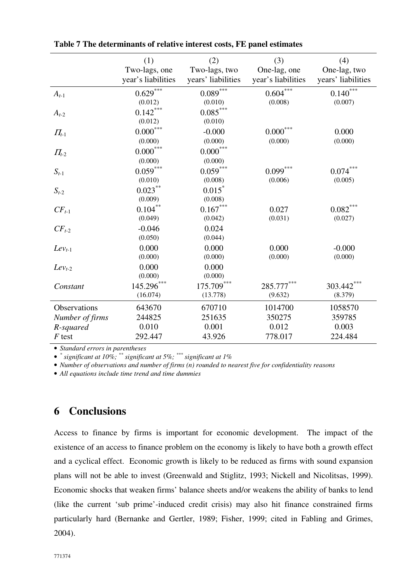|                 | (1)                | (2)                    | (3)                | (4)                     |
|-----------------|--------------------|------------------------|--------------------|-------------------------|
|                 | Two-lags, one      | Two-lags, two          | One-lag, one       | One-lag, two            |
|                 | year's liabilities | years' liabilities     | year's liabilities | years' liabilities      |
| $A_{t-1}$       | $0.629***$         | $0.089^{\ast\ast\ast}$ | $0.604***$         | $0.140***$              |
|                 | (0.012)            | (0.010)                | (0.008)            | (0.007)                 |
| $A_{t-2}$       | $0.142***$         | $0.085***$             |                    |                         |
|                 | (0.012)            | (0.010)                |                    |                         |
| $\Pi_{t-1}$     | $0.000^{***}$      | $-0.000$               | $0.000^{***}\,$    | 0.000                   |
|                 | (0.000)            | (0.000)                | (0.000)            | (0.000)                 |
| $\Pi_{t-2}$     | $0.000^{***}$      | $0.000^{***}$          |                    |                         |
|                 | (0.000)            | (0.000)                |                    |                         |
| $S_{t-1}$       | $0.059***$         | $0.059^{***}$          | $0.099***$         | $0.074^{\ast\ast\ast}$  |
|                 | (0.010)            | (0.008)                | (0.006)            | (0.005)                 |
| $S_{t-2}$       | $0.023***$         | $0.015$ <sup>*</sup>   |                    |                         |
|                 | (0.009)            | (0.008)                |                    |                         |
| $CF_{t-1}$      | $0.104***$         | $0.167***$             | 0.027              | $0.082\overset{***}{ }$ |
|                 | (0.049)            | (0.042)                | (0.031)            | (0.027)                 |
| $CF_{t-2}$      | $-0.046$           | 0.024                  |                    |                         |
|                 | (0.050)            | (0.044)                |                    |                         |
| $Lev_{t-1}$     | 0.000              | 0.000                  | 0.000              | $-0.000$                |
|                 | (0.000)            | (0.000)                | (0.000)            | (0.000)                 |
| $Lev_{t-2}$     | 0.000              | 0.000                  |                    |                         |
|                 | (0.000)            | (0.000)                |                    |                         |
| Constant        | 145.296***         | $175.709***$           | 285.777***         | 303.442***              |
|                 | (16.074)           | (13.778)               | (9.632)            | (8.379)                 |
| Observations    | 643670             | 670710                 | 1014700            | 1058570                 |
| Number of firms | 244825             | 251635                 | 350275             | 359785                  |
| R-squared       | 0.010              | 0.001                  | 0.012              | 0.003                   |
| $F$ test        | 292.447            | 43.926                 | 778.017            | 224.484                 |

**Table 7 The determinants of relative interest costs, FE panel estimates** 

• *\* significant at 10%; \*\* significant at 5%; \*\*\* significant at 1%* 

• *Number of observations and number of firms (n) rounded to nearest five for confidentiality reasons* 

• *All equations include time trend and time dummies* 

## **6 Conclusions**

Access to finance by firms is important for economic development. The impact of the existence of an access to finance problem on the economy is likely to have both a growth effect and a cyclical effect. Economic growth is likely to be reduced as firms with sound expansion plans will not be able to invest (Greenwald and Stiglitz, 1993; Nickell and Nicolitsas, 1999). Economic shocks that weaken firms' balance sheets and/or weakens the ability of banks to lend (like the current 'sub prime'-induced credit crisis) may also hit finance constrained firms particularly hard (Bernanke and Gertler, 1989; Fisher, 1999; cited in Fabling and Grimes, 2004).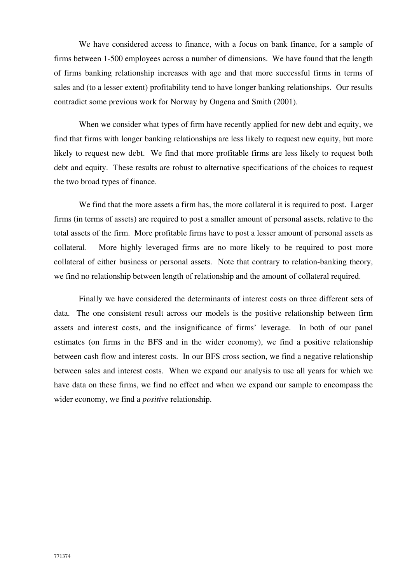We have considered access to finance, with a focus on bank finance, for a sample of firms between 1-500 employees across a number of dimensions. We have found that the length of firms banking relationship increases with age and that more successful firms in terms of sales and (to a lesser extent) profitability tend to have longer banking relationships. Our results contradict some previous work for Norway by Ongena and Smith (2001).

When we consider what types of firm have recently applied for new debt and equity, we find that firms with longer banking relationships are less likely to request new equity, but more likely to request new debt. We find that more profitable firms are less likely to request both debt and equity. These results are robust to alternative specifications of the choices to request the two broad types of finance.

We find that the more assets a firm has, the more collateral it is required to post. Larger firms (in terms of assets) are required to post a smaller amount of personal assets, relative to the total assets of the firm. More profitable firms have to post a lesser amount of personal assets as collateral. More highly leveraged firms are no more likely to be required to post more collateral of either business or personal assets. Note that contrary to relation-banking theory, we find no relationship between length of relationship and the amount of collateral required.

Finally we have considered the determinants of interest costs on three different sets of data. The one consistent result across our models is the positive relationship between firm assets and interest costs, and the insignificance of firms' leverage. In both of our panel estimates (on firms in the BFS and in the wider economy), we find a positive relationship between cash flow and interest costs. In our BFS cross section, we find a negative relationship between sales and interest costs. When we expand our analysis to use all years for which we have data on these firms, we find no effect and when we expand our sample to encompass the wider economy, we find a *positive* relationship.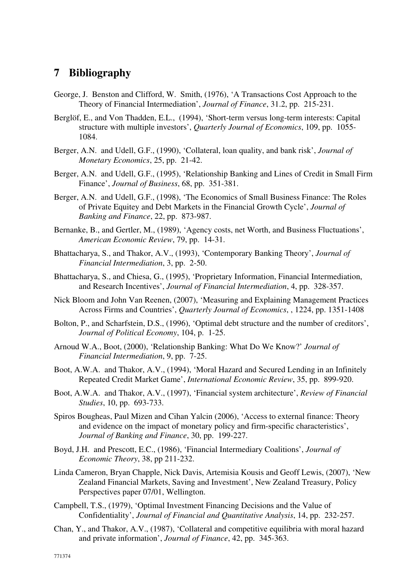## **7 Bibliography**

- George, J. Benston and Clifford, W. Smith, (1976), 'A Transactions Cost Approach to the Theory of Financial Intermediation', *Journal of Finance*, 31.2, pp. 215-231.
- Berglöf, E., and Von Thadden, E.L., (1994), 'Short-term versus long-term interests: Capital structure with multiple investors', *Quarterly Journal of Economics*, 109, pp. 1055- 1084.
- Berger, A.N. and Udell, G.F., (1990), 'Collateral, loan quality, and bank risk', *Journal of Monetary Economics*, 25, pp. 21-42.
- Berger, A.N. and Udell, G.F., (1995), 'Relationship Banking and Lines of Credit in Small Firm Finance', *Journal of Business*, 68, pp. 351-381.
- Berger, A.N. and Udell, G.F., (1998), 'The Economics of Small Business Finance: The Roles of Private Equitey and Debt Markets in the Financial Growth Cycle', *Journal of Banking and Finance*, 22, pp. 873-987.
- Bernanke, B., and Gertler, M., (1989), 'Agency costs, net Worth, and Business Fluctuations', *American Economic Review*, 79, pp. 14-31.
- Bhattacharya, S., and Thakor, A.V., (1993), 'Contemporary Banking Theory', *Journal of Financial Intermediation*, 3, pp. 2-50.
- Bhattacharya, S., and Chiesa, G., (1995), 'Proprietary Information, Financial Intermediation, and Research Incentives', *Journal of Financial Intermediation*, 4, pp. 328-357.
- Nick Bloom and John Van Reenen, (2007), 'Measuring and Explaining Management Practices Across Firms and Countries', *Quarterly Journal of Economics*, , 1224, pp. 1351-1408
- Bolton, P., and Scharfstein, D.S., (1996), 'Optimal debt structure and the number of creditors', *Journal of Political Economy*, 104, p. 1-25.
- Arnoud W.A., Boot, (2000), 'Relationship Banking: What Do We Know?' *Journal of Financial Intermediation*, 9, pp. 7-25.
- Boot, A.W.A. and Thakor, A.V., (1994), 'Moral Hazard and Secured Lending in an Infinitely Repeated Credit Market Game', *International Economic Review*, 35, pp. 899-920.
- Boot, A.W.A. and Thakor, A.V., (1997), 'Financial system architecture', *Review of Financial Studies*, 10, pp. 693-733.
- Spiros Bougheas, Paul Mizen and Cihan Yalcin (2006), 'Access to external finance: Theory and evidence on the impact of monetary policy and firm-specific characteristics', *Journal of Banking and Finance*, 30, pp. 199-227.
- Boyd, J.H. and Prescott, E.C., (1986), 'Financial Intermediary Coalitions', *Journal of Economic Theory*, 38, pp 211-232.
- Linda Cameron, Bryan Chapple, Nick Davis, Artemisia Kousis and Geoff Lewis, (2007), 'New Zealand Financial Markets, Saving and Investment', New Zealand Treasury, Policy Perspectives paper 07/01, Wellington.
- Campbell, T.S., (1979), 'Optimal Investment Financing Decisions and the Value of Confidentiality', *Journal of Financial and Quantitative Analysis*, 14, pp. 232-257.
- Chan, Y., and Thakor, A.V., (1987), 'Collateral and competitive equilibria with moral hazard and private information', *Journal of Finance*, 42, pp. 345-363.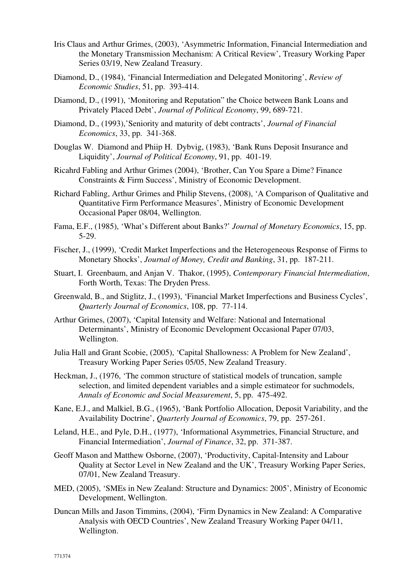- Iris Claus and Arthur Grimes, (2003), 'Asymmetric Information, Financial Intermediation and the Monetary Transmission Mechanism: A Critical Review', Treasury Working Paper Series 03/19, New Zealand Treasury.
- Diamond, D., (1984), 'Financial Intermediation and Delegated Monitoring', *Review of Economic Studies*, 51, pp. 393-414.
- Diamond, D., (1991), 'Monitoring and Reputation" the Choice between Bank Loans and Privately Placed Debt', *Journal of Political Economy*, 99, 689-721.
- Diamond, D., (1993),'Seniority and maturity of debt contracts', *Journal of Financial Economics*, 33, pp. 341-368.
- Douglas W. Diamond and Phiip H. Dybvig, (1983), 'Bank Runs Deposit Insurance and Liquidity', *Journal of Political Economy*, 91, pp. 401-19.
- Ricahrd Fabling and Arthur Grimes (2004), 'Brother, Can You Spare a Dime? Finance Constraints & Firm Success', Ministry of Economic Development.
- Richard Fabling, Arthur Grimes and Philip Stevens, (2008), 'A Comparison of Qualitative and Quantitative Firm Performance Measures', Ministry of Economic Development Occasional Paper 08/04, Wellington.
- Fama, E.F., (1985), 'What's Different about Banks?' *Journal of Monetary Economics*, 15, pp. 5-29.
- Fischer, J., (1999), 'Credit Market Imperfections and the Heterogeneous Response of Firms to Monetary Shocks', *Journal of Money, Credit and Banking*, 31, pp. 187-211.
- Stuart, I. Greenbaum, and Anjan V. Thakor, (1995), *Contemporary Financial Intermediation*, Forth Worth, Texas: The Dryden Press.
- Greenwald, B., and Stiglitz, J., (1993), 'Financial Market Imperfections and Business Cycles', *Quarterly Journal of Economics*, 108, pp. 77-114.
- Arthur Grimes, (2007), 'Capital Intensity and Welfare: National and International Determinants', Ministry of Economic Development Occasional Paper 07/03, Wellington.
- Julia Hall and Grant Scobie, (2005), 'Capital Shallowness: A Problem for New Zealand', Treasury Working Paper Series 05/05, New Zealand Treasury.
- Heckman, J., (1976, 'The common structure of statistical models of truncation, sample selection, and limited dependent variables and a simple estimateor for suchmodels, *Annals of Economic and Social Measurement*, 5, pp. 475-492.
- Kane, E.J., and Malkiel, B.G., (1965), 'Bank Portfolio Allocation, Deposit Variability, and the Availability Doctrine', *Quarterly Journal of Economics*, 79, pp. 257-261.
- Leland, H.E., and Pyle, D.H., (1977), 'Informational Asymmetries, Financial Structure, and Financial Intermediation', *Journal of Finance*, 32, pp. 371-387.
- Geoff Mason and Matthew Osborne, (2007), 'Productivity, Capital-Intensity and Labour Quality at Sector Level in New Zealand and the UK', Treasury Working Paper Series, 07/01, New Zealand Treasury.
- MED, (2005), 'SMEs in New Zealand: Structure and Dynamics: 2005', Ministry of Economic Development, Wellington.
- Duncan Mills and Jason Timmins, (2004), 'Firm Dynamics in New Zealand: A Comparative Analysis with OECD Countries', New Zealand Treasury Working Paper 04/11, Wellington.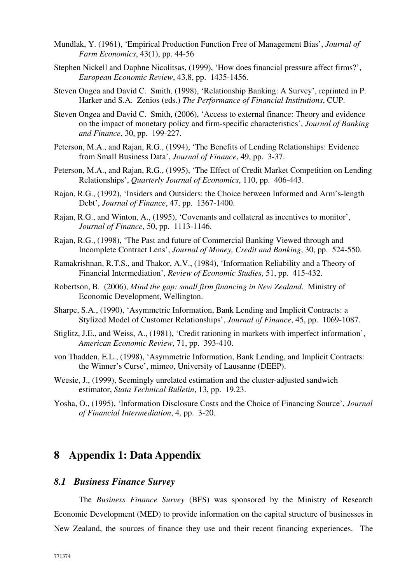- Mundlak, Y. (1961), 'Empirical Production Function Free of Management Bias', *Journal of Farm Economics*, 43(1), pp. 44-56
- Stephen Nickell and Daphne Nicolitsas, (1999), 'How does financial pressure affect firms?', *European Economic Review*, 43.8, pp. 1435-1456.
- Steven Ongea and David C. Smith, (1998), 'Relationship Banking: A Survey', reprinted in P. Harker and S.A. Zenios (eds.) *The Performance of Financial Institutions*, CUP.
- Steven Ongea and David C. Smith, (2006), 'Access to external finance: Theory and evidence on the impact of monetary policy and firm-specific characteristics', *Journal of Banking and Finance*, 30, pp. 199-227.
- Peterson, M.A., and Rajan, R.G., (1994), 'The Benefits of Lending Relationships: Evidence from Small Business Data', *Journal of Finance*, 49, pp. 3-37.
- Peterson, M.A., and Rajan, R.G., (1995), 'The Effect of Credit Market Competition on Lending Relationships', *Quarterly Journal of Economics*, 110, pp. 406-443.
- Rajan, R.G., (1992), 'Insiders and Outsiders: the Choice between Informed and Arm's-length Debt', *Journal of Finance*, 47, pp. 1367-1400.
- Rajan, R.G., and Winton, A., (1995), 'Covenants and collateral as incentives to monitor', *Journal of Finance*, 50, pp. 1113-1146.
- Rajan, R.G., (1998), 'The Past and future of Commercial Banking Viewed through and Incomplete Contract Lens', *Journal of Money, Credit and Banking*, 30, pp. 524-550.
- Ramakrishnan, R.T.S., and Thakor, A.V., (1984), 'Information Reliability and a Theory of Financial Intermediation', *Review of Economic Studies*, 51, pp. 415-432.
- Robertson, B. (2006), *Mind the gap: small firm financing in New Zealand*. Ministry of Economic Development, Wellington.
- Sharpe, S.A., (1990), 'Asymmetric Information, Bank Lending and Implicit Contracts: a Stylized Model of Customer Relationships', *Journal of Finance*, 45, pp. 1069-1087.
- Stiglitz, J.E., and Weiss, A., (1981), 'Credit rationing in markets with imperfect information', *American Economic Review*, 71, pp. 393-410.
- von Thadden, E.L., (1998), 'Asymmetric Information, Bank Lending, and Implicit Contracts: the Winner's Curse', mimeo, University of Lausanne (DEEP).
- Weesie, J., (1999), Seemingly unrelated estimation and the cluster-adjusted sandwich estimator, *Stata Technical Bulletin*, 13, pp. 19.23.
- Yosha, O., (1995), 'Information Disclosure Costs and the Choice of Financing Source', *Journal of Financial Intermediation*, 4, pp. 3-20.

## **8 Appendix 1: Data Appendix**

### *8.1 Business Finance Survey*

The *Business Finance Survey* (BFS) was sponsored by the Ministry of Research Economic Development (MED) to provide information on the capital structure of businesses in New Zealand, the sources of finance they use and their recent financing experiences. The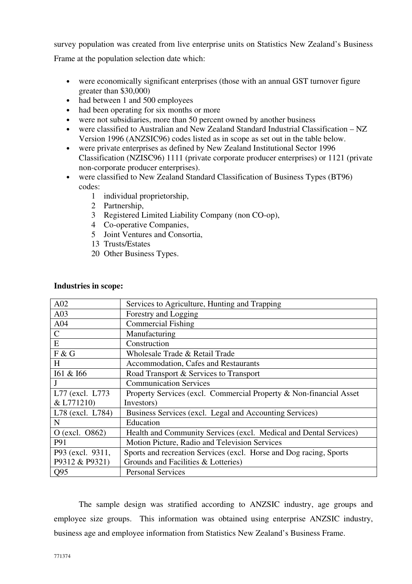survey population was created from live enterprise units on Statistics New Zealand's Business

Frame at the population selection date which:

- were economically significant enterprises (those with an annual GST turnover figure greater than \$30,000)
- had between 1 and 500 employees
- had been operating for six months or more
- were not subsidiaries, more than 50 percent owned by another business
- were classified to Australian and New Zealand Standard Industrial Classification NZ Version 1996 (ANZSIC96) codes listed as in scope as set out in the table below.
- were private enterprises as defined by New Zealand Institutional Sector 1996 Classification (NZISC96) 1111 (private corporate producer enterprises) or 1121 (private non-corporate producer enterprises).
- were classified to New Zealand Standard Classification of Business Types (BT96) codes:
	- 1 individual proprietorship,
	- 2 Partnership,
	- 3 Registered Limited Liability Company (non CO-op),
	- 4 Co-operative Companies,
	- 5 Joint Ventures and Consortia,
	- 13 Trusts/Estates
	- 20 Other Business Types.

#### **Industries in scope:**

| A02              | Services to Agriculture, Hunting and Trapping                      |
|------------------|--------------------------------------------------------------------|
| A03              | Forestry and Logging                                               |
| A04              | <b>Commercial Fishing</b>                                          |
| $\mathsf{C}$     | Manufacturing                                                      |
| E                | Construction                                                       |
| F & G            | Wholesale Trade & Retail Trade                                     |
| H                | Accommodation, Cafes and Restaurants                               |
| I61 & I66        | Road Transport & Services to Transport                             |
| J                | <b>Communication Services</b>                                      |
| L77 (excl. L773) | Property Services (excl. Commercial Property & Non-financial Asset |
| & L771210)       | Investors)                                                         |
| L78 (excl. L784) | Business Services (excl. Legal and Accounting Services)            |
| N                | Education                                                          |
| O (excl. 0862)   | Health and Community Services (excl. Medical and Dental Services)  |
| P91              | Motion Picture, Radio and Television Services                      |
| P93 (excl. 9311, | Sports and recreation Services (excl. Horse and Dog racing, Sports |
| P9312 & P9321)   | Grounds and Facilities & Lotteries)                                |
| Q95              | <b>Personal Services</b>                                           |

The sample design was stratified according to ANZSIC industry, age groups and employee size groups. This information was obtained using enterprise ANZSIC industry, business age and employee information from Statistics New Zealand's Business Frame.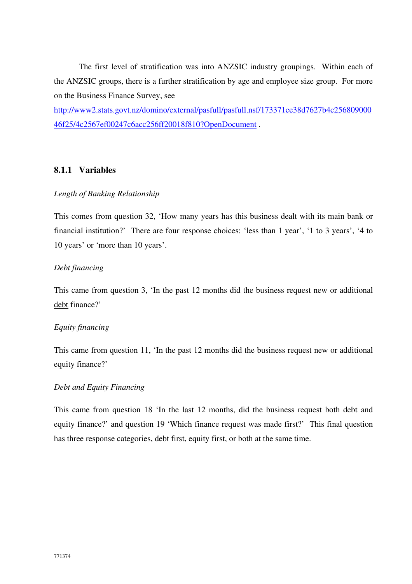The first level of stratification was into ANZSIC industry groupings. Within each of the ANZSIC groups, there is a further stratification by age and employee size group. For more on the Business Finance Survey, see

http://www2.stats.govt.nz/domino/external/pasfull/pasfull.nsf/173371ce38d7627b4c256809000 46f25/4c2567ef00247c6acc256ff20018f810?OpenDocument .

## **8.1.1 Variables**

#### *Length of Banking Relationship*

This comes from question 32, 'How many years has this business dealt with its main bank or financial institution?' There are four response choices: 'less than 1 year', '1 to 3 years', '4 to 10 years' or 'more than 10 years'.

### *Debt financing*

This came from question 3, 'In the past 12 months did the business request new or additional debt finance?'

#### *Equity financing*

This came from question 11, 'In the past 12 months did the business request new or additional equity finance?'

#### *Debt and Equity Financing*

This came from question 18 'In the last 12 months, did the business request both debt and equity finance?' and question 19 'Which finance request was made first?' This final question has three response categories, debt first, equity first, or both at the same time.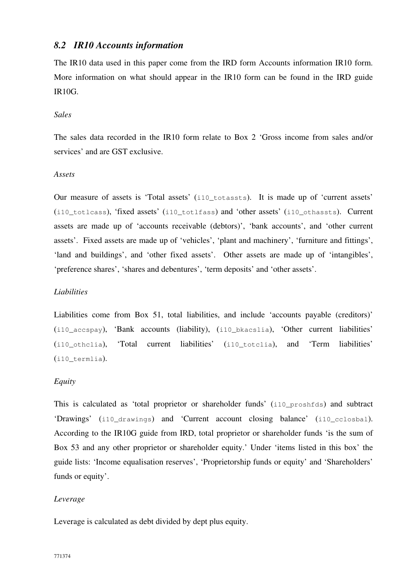## *8.2 IR10 Accounts information*

The IR10 data used in this paper come from the IRD form Accounts information IR10 form. More information on what should appear in the IR10 form can be found in the IRD guide IR10G.

#### *Sales*

The sales data recorded in the IR10 form relate to Box 2 'Gross income from sales and/or services' and are GST exclusive.

### *Assets*

Our measure of assets is 'Total assets' (i10\_totassts). It is made up of 'current assets' (i10\_totlcass), 'fixed assets' (i10\_totlfass) and 'other assets' (i10\_othassts). Current assets are made up of 'accounts receivable (debtors)', 'bank accounts', and 'other current assets'. Fixed assets are made up of 'vehicles', 'plant and machinery', 'furniture and fittings', 'land and buildings', and 'other fixed assets'. Other assets are made up of 'intangibles', 'preference shares', 'shares and debentures', 'term deposits' and 'other assets'.

## *Liabilities*

Liabilities come from Box 51, total liabilities, and include 'accounts payable (creditors)' (i10 accspay), 'Bank accounts (liability), (i10 bkacslia), 'Other current liabilities' (i10\_othclia), 'Total current liabilities' (i10\_totclia), and 'Term liabilities' (i10\_termlia).

## *Equity*

This is calculated as 'total proprietor or shareholder funds' (i10\_proshfds) and subtract 'Drawings' (i10\_drawings) and 'Current account closing balance' (i10\_cclosbal). According to the IR10G guide from IRD, total proprietor or shareholder funds 'is the sum of Box 53 and any other proprietor or shareholder equity.' Under 'items listed in this box' the guide lists: 'Income equalisation reserves', 'Proprietorship funds or equity' and 'Shareholders' funds or equity'.

## *Leverage*

Leverage is calculated as debt divided by dept plus equity.